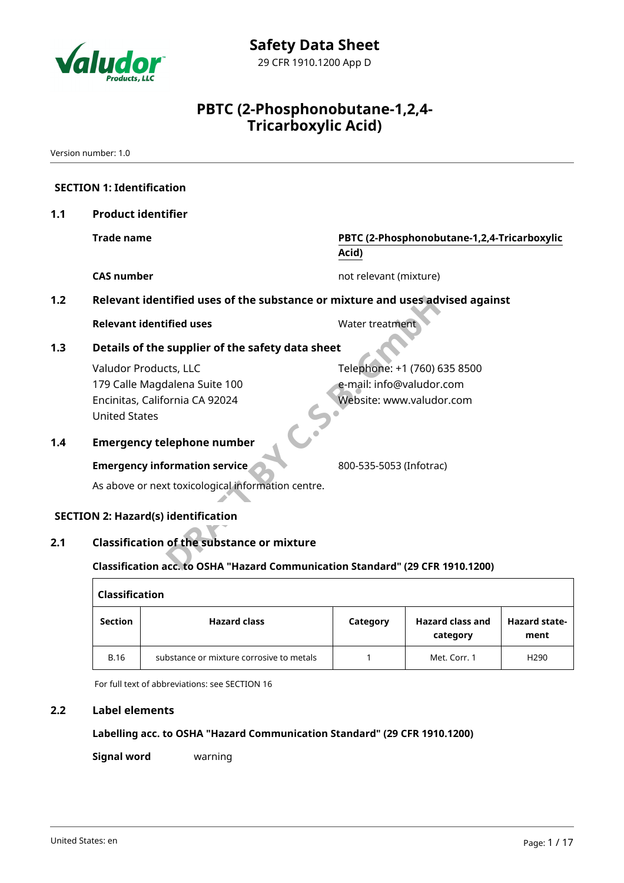

Version number: 1.0

|     | <b>SECTION 1: Identification</b>                                                                                 |                                                                                      |
|-----|------------------------------------------------------------------------------------------------------------------|--------------------------------------------------------------------------------------|
| 1.1 | <b>Product identifier</b>                                                                                        |                                                                                      |
|     | <b>Trade name</b>                                                                                                | PBTC (2-Phosphonobutane-1,2,4-Tricarboxylic<br>Acid)                                 |
|     | <b>CAS number</b>                                                                                                | not relevant (mixture)                                                               |
| 1.2 | Relevant identified uses of the substance or mixture and uses advised against                                    |                                                                                      |
|     | <b>Relevant identified uses</b>                                                                                  | Water treatment                                                                      |
| 1.3 | Details of the supplier of the safety data sheet                                                                 |                                                                                      |
|     | Valudor Products, LLC<br>179 Calle Magdalena Suite 100<br>Encinitas, California CA 92024<br><b>United States</b> | Telephone: +1 (760) 635 8500<br>e-mail: info@valudor.com<br>Website: www.valudor.com |
| 1.4 | <b>Emergency telephone number</b>                                                                                |                                                                                      |
|     | <b>Emergency information service</b>                                                                             | 800-535-5053 (Infotrac)                                                              |
|     | As above or next toxicological information centre.                                                               |                                                                                      |
|     | <b>SECTION 2: Hazard(s) identification</b>                                                                       |                                                                                      |
| 2.1 | <b>Classification of the substance or mixture</b>                                                                |                                                                                      |
|     | Classification acc. to OSHA "Hazard Communication Standard" (29 CFR 1910.1200)                                   |                                                                                      |

| <b>Classification</b>                 |                                          |          |                                     |                              |  |  |  |
|---------------------------------------|------------------------------------------|----------|-------------------------------------|------------------------------|--|--|--|
| <b>Hazard class</b><br><b>Section</b> |                                          | Category | <b>Hazard class and</b><br>category | <b>Hazard state-</b><br>ment |  |  |  |
| <b>B.16</b>                           | substance or mixture corrosive to metals |          | Met. Corr. 1                        | H <sub>290</sub>             |  |  |  |

For full text of abbreviations: see SECTION 16

#### **2.2 Label elements**

#### **Labelling acc. to OSHA "Hazard Communication Standard" (29 CFR 1910.1200)**

**Signal word** warning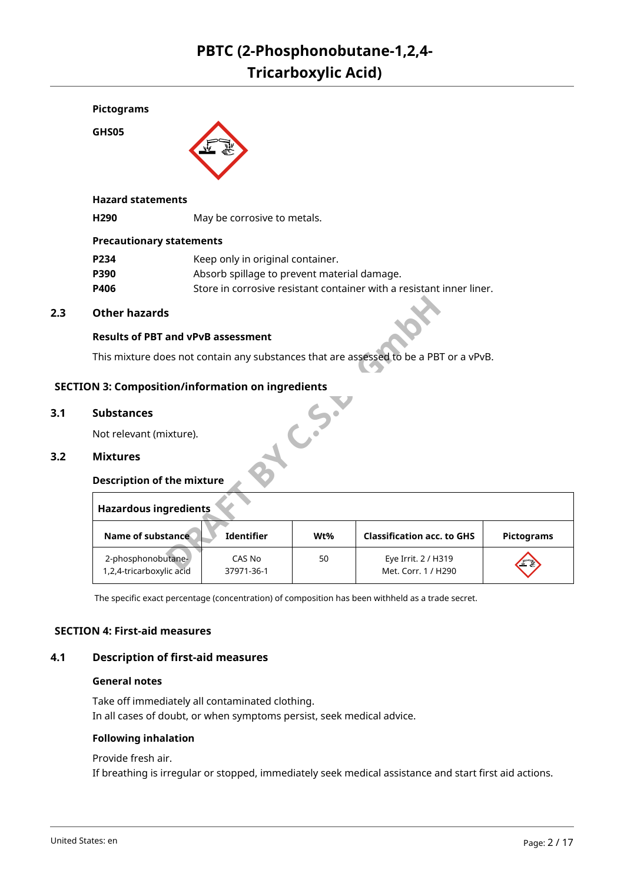

**GHS05**



#### **Hazard statements**

**H290** May be corrosive to metals.

#### **Precautionary statements**

| P234 | Keep only in original container.                                     |
|------|----------------------------------------------------------------------|
| P390 | Absorb spillage to prevent material damage.                          |
| P406 | Store in corrosive resistant container with a resistant inner liner. |

#### **2.3 Other hazards**

#### **Results of PBT and vPvB assessment**

This mixture does not contain any substances that are assessed to be a PBT or a vPvB.

### **AC.S. SECTION 3: Composition/information on ingredients**

#### **3.1 Substances**

Not relevant (mixture).

#### **3.2 Mixtures**

#### **Description of the mixture**

| <b>Hazardous ingredients</b>                   |                      |     |                                            |                   |  |  |  |
|------------------------------------------------|----------------------|-----|--------------------------------------------|-------------------|--|--|--|
| Name of substance                              | <b>Identifier</b>    | Wt% | <b>Classification acc. to GHS</b>          | <b>Pictograms</b> |  |  |  |
| 2-phosphonobutane-<br>1,2,4-tricarboxylic acid | CAS No<br>37971-36-1 | 50  | Eye Irrit. 2 / H319<br>Met. Corr. 1 / H290 | EX                |  |  |  |

The specific exact percentage (concentration) of composition has been withheld as a trade secret.

#### **SECTION 4: First-aid measures**

#### **4.1 Description of first-aid measures**

#### **General notes**

Take off immediately all contaminated clothing. In all cases of doubt, or when symptoms persist, seek medical advice.

#### **Following inhalation**

Provide fresh air.

If breathing is irregular or stopped, immediately seek medical assistance and start first aid actions.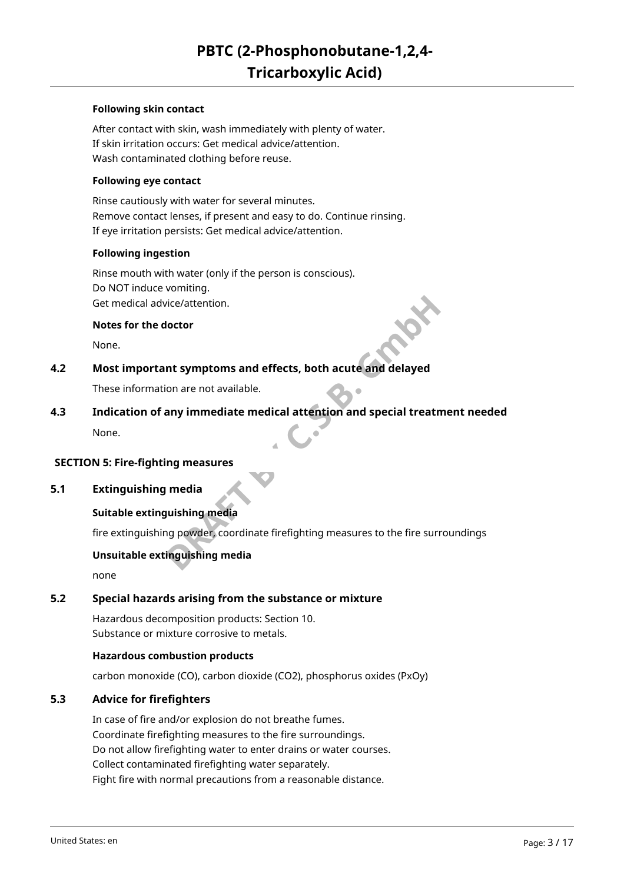#### **Following skin contact**

After contact with skin, wash immediately with plenty of water. If skin irritation occurs: Get medical advice/attention. Wash contaminated clothing before reuse.

#### **Following eye contact**

Rinse cautiously with water for several minutes. Remove contact lenses, if present and easy to do. Continue rinsing. If eye irritation persists: Get medical advice/attention.

#### **Following ingestion**

Rinse mouth with water (only if the person is conscious). Do NOT induce vomiting. Get medical advice/attention.

#### **Notes for the doctor**

None.

#### **4.2 Most important symptoms and effects, both acute and delayed**

These information are not available.

# **DRAFT BY C.S.B. GmbH 4.3 Indication of any immediate medical attention and special treatment needed**

None.

#### **SECTION 5: Fire-fighting measures**

#### **5.1 Extinguishing media**

#### **Suitable extinguishing media**

fire extinguishing powder, coordinate firefighting measures to the fire surroundings

#### **Unsuitable extinguishing media**

none

#### **5.2 Special hazards arising from the substance or mixture**

Hazardous decomposition products: Section 10. Substance or mixture corrosive to metals.

#### **Hazardous combustion products**

carbon monoxide (CO), carbon dioxide (CO2), phosphorus oxides (PxOy)

#### **5.3 Advice for firefighters**

In case of fire and/or explosion do not breathe fumes. Coordinate firefighting measures to the fire surroundings. Do not allow firefighting water to enter drains or water courses. Collect contaminated firefighting water separately. Fight fire with normal precautions from a reasonable distance.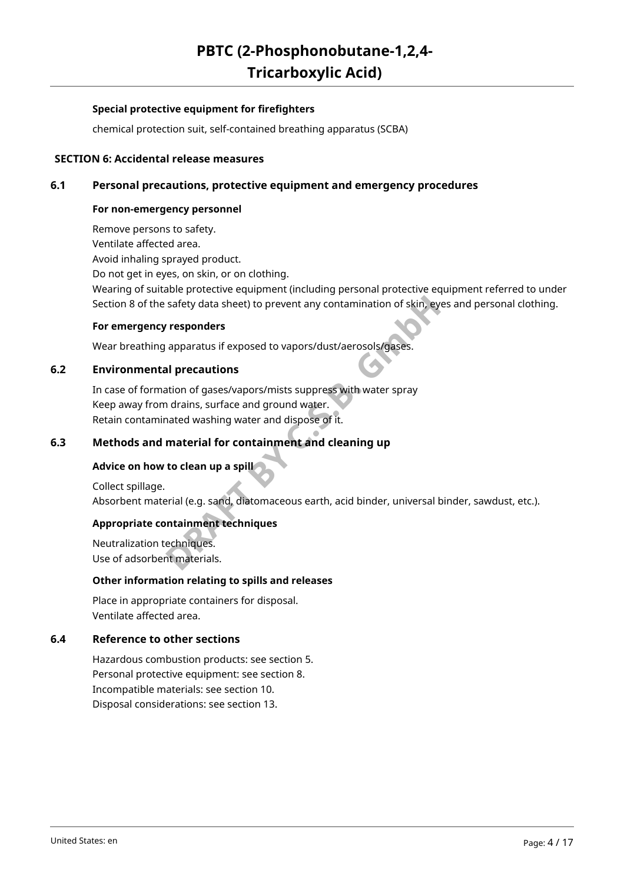#### **Special protective equipment for firefighters**

chemical protection suit, self-contained breathing apparatus (SCBA)

#### **SECTION 6: Accidental release measures**

#### **6.1 Personal precautions, protective equipment and emergency procedures**

#### **For non-emergency personnel**

Remove persons to safety. Ventilate affected area. Avoid inhaling sprayed product. Do not get in eyes, on skin, or on clothing. Wearing of suitable protective equipment (including personal protective equipment referred to under Section 8 of the safety data sheet) to prevent any contamination of skin, eyes and personal clothing.

#### **For emergency responders**

Wear breathing apparatus if exposed to vapors/dust/aerosols/gases.

#### **6.2 Environmental precautions**

safety data sheet) to prevent any contamination of skin, eyes<br> **PRAFT BY CONTEX EXECUTES**<br> **DRAFT BY ADDIST BY ADDISTANT SUPPERS WITH VALUAT SHEARY OF SHEARY AND ASSES.**<br> **DRAFT BY ADDIST SUPPERS WITH VALUAT STAR AND ADDIS** In case of formation of gases/vapors/mists suppress with water spray Keep away from drains, surface and ground water. Retain contaminated washing water and dispose of it.

#### **6.3 Methods and material for containment and cleaning up**

#### **Advice on how to clean up a spill**

Collect spillage. Absorbent material (e.g. sand, diatomaceous earth, acid binder, universal binder, sawdust, etc.).

#### **Appropriate containment techniques**

Neutralization techniques. Use of adsorbent materials.

#### **Other information relating to spills and releases**

Place in appropriate containers for disposal. Ventilate affected area.

#### **6.4 Reference to other sections**

Hazardous combustion products: see section 5. Personal protective equipment: see section 8. Incompatible materials: see section 10. Disposal considerations: see section 13.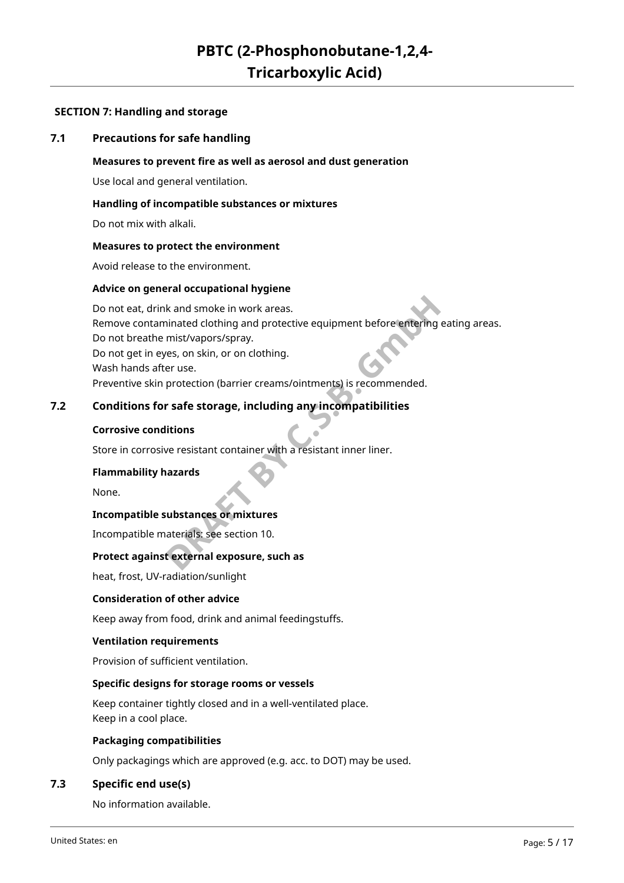#### **SECTION 7: Handling and storage**

#### **7.1 Precautions for safe handling**

#### **Measures to prevent fire as well as aerosol and dust generation**

Use local and general ventilation.

#### **Handling of incompatible substances or mixtures**

Do not mix with alkali.

#### **Measures to protect the environment**

Avoid release to the environment.

#### **Advice on general occupational hygiene**

Red Smoke in work areas.<br>
Sinated clothing and protective equipment before entering ea<br>
mist/vapors/spray.<br>
Yes, on skin, or on clothing.<br>
Protection (barrier creams/ointments) is recommended.<br> **Protection (barrier creams/** Do not eat, drink and smoke in work areas. Remove contaminated clothing and protective equipment before entering eating areas. Do not breathe mist/vapors/spray. Do not get in eyes, on skin, or on clothing. Wash hands after use. Preventive skin protection (barrier creams/ointments) is recommended.

#### **7.2 Conditions for safe storage, including any incompatibilities**

#### **Corrosive conditions**

Store in corrosive resistant container with a resistant inner liner.

#### **Flammability hazards**

None.

#### **Incompatible substances or mixtures**

Incompatible materials: see section 10.

#### **Protect against external exposure, such as**

heat, frost, UV-radiation/sunlight

#### **Consideration of other advice**

Keep away from food, drink and animal feedingstuffs.

#### **Ventilation requirements**

Provision of sufficient ventilation.

#### **Specific designs for storage rooms or vessels**

Keep container tightly closed and in a well-ventilated place. Keep in a cool place.

#### **Packaging compatibilities**

Only packagings which are approved (e.g. acc. to DOT) may be used.

#### **7.3 Specific end use(s)**

No information available.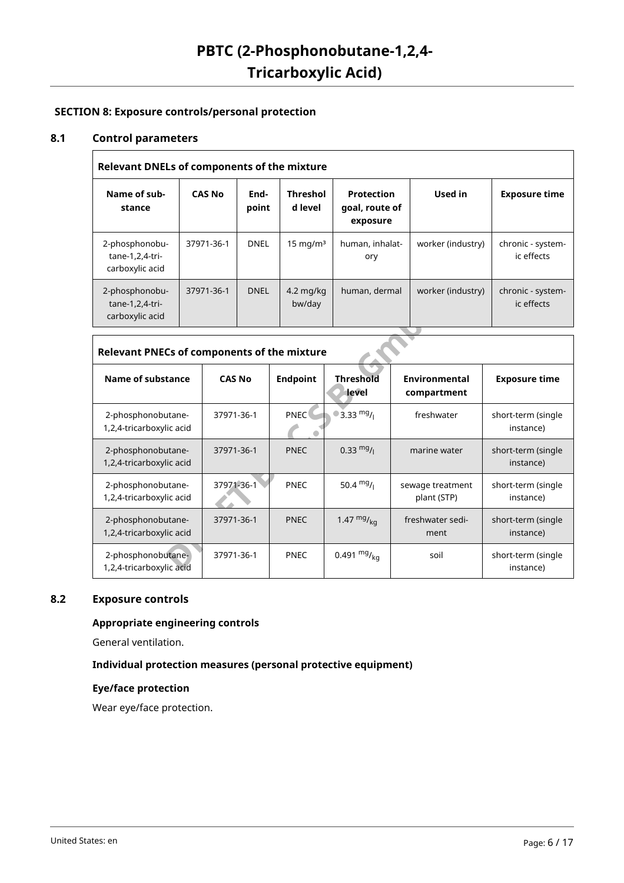#### **SECTION 8: Exposure controls/personal protection**

#### **8.1 Control parameters**

 $\overline{\Gamma}$ 

 $\Gamma$ 

| <b>Relevant DNELs of components of the mixture</b>   |               |               |                            |                                                 |                   |                                 |  |  |
|------------------------------------------------------|---------------|---------------|----------------------------|-------------------------------------------------|-------------------|---------------------------------|--|--|
| Name of sub-<br>stance                               | <b>CAS No</b> | End-<br>point | <b>Threshol</b><br>d level | <b>Protection</b><br>goal, route of<br>exposure | Used in           | <b>Exposure time</b>            |  |  |
| 2-phosphonobu-<br>tane-1,2,4-tri-<br>carboxylic acid | 37971-36-1    | DNEL          | $15 \text{ mg/m}^3$        | human, inhalat-<br>ory                          | worker (industry) | chronic - system-<br>ic effects |  |  |
| 2-phosphonobu-<br>tane-1,2,4-tri-<br>carboxylic acid | 37971-36-1    | <b>DNEL</b>   | $4.2$ mg/kg<br>bw/day      | human, dermal                                   | worker (industry) | chronic - system-<br>ic effects |  |  |

| tane-1,2,4-tri-<br>carboxylic acid             |               | bw/day          |                           |                                 | ic effects                      |  |  |  |
|------------------------------------------------|---------------|-----------------|---------------------------|---------------------------------|---------------------------------|--|--|--|
| Relevant PNECs of components of the mixture    |               |                 |                           |                                 |                                 |  |  |  |
| Name of substance                              | <b>CAS No</b> | <b>Endpoint</b> | <b>Threshold</b><br>level | Environmental<br>compartment    | <b>Exposure time</b>            |  |  |  |
| 2-phosphonobutane-<br>1,2,4-tricarboxylic acid | 37971-36-1    | <b>PNEC</b>     | 3.33 mg <sub>/1</sub>     | freshwater                      | short-term (single<br>instance) |  |  |  |
| 2-phosphonobutane-<br>1,2,4-tricarboxylic acid | 37971-36-1    | <b>PNEC</b>     | $0.33 \frac{mg}{l}$       | marine water                    | short-term (single<br>instance) |  |  |  |
| 2-phosphonobutane-<br>1,2,4-tricarboxylic acid | 37971-36-1    | <b>PNEC</b>     | 50.4 $mg/$                | sewage treatment<br>plant (STP) | short-term (single<br>instance) |  |  |  |
| 2-phosphonobutane-<br>1,2,4-tricarboxylic acid | 37971-36-1    | <b>PNEC</b>     | 1.47 $mg/kq$              | freshwater sedi-<br>ment        | short-term (single<br>instance) |  |  |  |
| 2-phosphonobutane-<br>1,2,4-tricarboxylic acid | 37971-36-1    | <b>PNEC</b>     | 0.491 $mg/kq$             | soil                            | short-term (single<br>instance) |  |  |  |

#### **8.2 Exposure controls**

#### **Appropriate engineering controls**

General ventilation.

#### **Individual protection measures (personal protective equipment)**

#### **Eye/face protection**

Wear eye/face protection.

٦

٦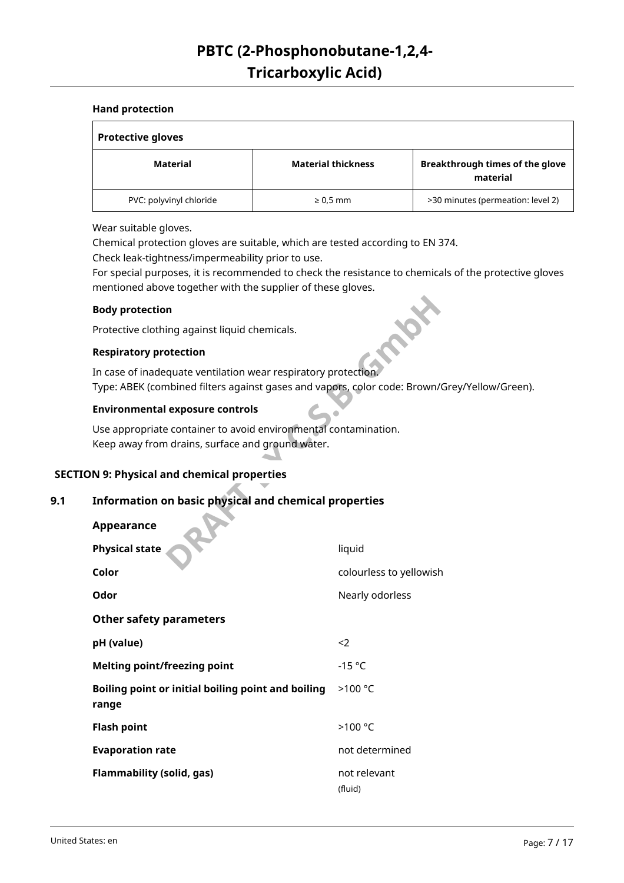#### **Hand protection**

| <b>Protective gloves</b> |                           |                                             |  |  |  |
|--------------------------|---------------------------|---------------------------------------------|--|--|--|
| Material                 | <b>Material thickness</b> | Breakthrough times of the glove<br>material |  |  |  |
| PVC: polyvinyl chloride  | $\geq 0.5$ mm             | >30 minutes (permeation: level 2)           |  |  |  |

Wear suitable gloves.

Chemical protection gloves are suitable, which are tested according to EN 374.

Check leak-tightness/impermeability prior to use.

For special purposes, it is recommended to check the resistance to chemicals of the protective gloves mentioned above together with the supplier of these gloves.

#### **Body protection**

#### **Respiratory protection**

In case of inadequate ventilation wear respiratory protection. Type: ABEK (combined filters against gases and vapors, color code: Brown/Grey/Yellow/Green).

#### **Environmental exposure controls**

#### **SECTION 9: Physical and chemical properties**

#### **9.1 Information on basic physical and chemical properties**

| <b>Body protection</b>                                                                                              |                         |
|---------------------------------------------------------------------------------------------------------------------|-------------------------|
| Protective clothing against liquid chemicals.                                                                       |                         |
| <b>Respiratory protection</b>                                                                                       |                         |
| In case of inadequate ventilation wear respiratory protection                                                       |                         |
| Type: ABEK (combined filters against gases and vapors, color code: Brown/Gr                                         |                         |
| <b>Environmental exposure controls</b>                                                                              |                         |
| Use appropriate container to avoid environmental contamination.<br>Keep away from drains, surface and ground water. |                         |
| N 9: Physical and chemical properties                                                                               |                         |
| Information on basic physical and chemical properties                                                               |                         |
| Appearance                                                                                                          |                         |
| <b>Physical state</b>                                                                                               | liquid                  |
| Color                                                                                                               | colourless to yellowish |
| Odor                                                                                                                | Nearly odorless         |
| <b>Other safety parameters</b>                                                                                      |                         |
| pH (value)                                                                                                          | $\langle$               |
| <b>Melting point/freezing point</b>                                                                                 | $-15$ °C                |
| Boiling point or initial boiling point and boiling<br>range                                                         | >100 °C                 |
| <b>Flash point</b>                                                                                                  | >100 °C                 |
| <b>Evaporation rate</b>                                                                                             | not determined          |
| <b>Flammability (solid, gas)</b>                                                                                    | not relevant<br>(fluid) |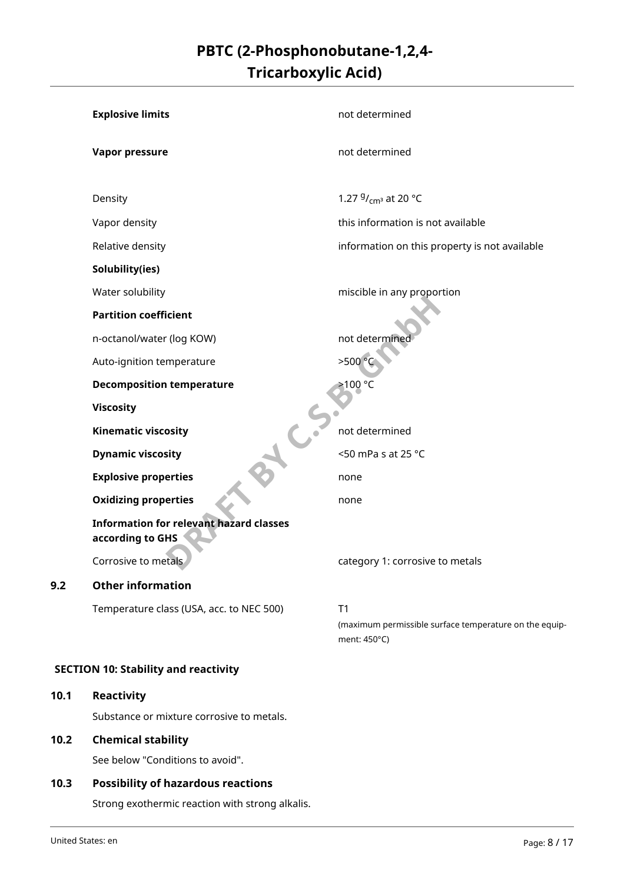| <b>Explosive limits</b>                                            | not determined                                                               |
|--------------------------------------------------------------------|------------------------------------------------------------------------------|
| <b>Vapor pressure</b>                                              | not determined                                                               |
| Density                                                            | 1.27 $9/$ <sub>cm</sub> <sup>3</sup> at 20 °C                                |
| Vapor density                                                      | this information is not available                                            |
| Relative density                                                   | information on this property is not available                                |
| Solubility(ies)                                                    |                                                                              |
| Water solubility                                                   | miscible in any proportion                                                   |
| <b>Partition coefficient</b>                                       |                                                                              |
| n-octanol/water (log KOW)                                          | not determine                                                                |
| Auto-ignition temperature                                          | >500 °C                                                                      |
| <b>Decomposition temperature</b>                                   | >100 °C                                                                      |
| <b>Viscosity</b>                                                   |                                                                              |
| <b>Kinematic viscosity</b>                                         | not determined                                                               |
| <b>Dynamic viscosity</b>                                           | <50 mPa s at 25 °C                                                           |
| <b>Explosive properties</b>                                        | none                                                                         |
| <b>Oxidizing properties</b>                                        | none                                                                         |
| <b>Information for relevant hazard classes</b><br>according to GHS |                                                                              |
| Corrosive to metals                                                | category 1: corrosive to metals                                              |
| <b>Other information</b>                                           |                                                                              |
| Temperature class (USA, acc. to NEC 500)                           | T1<br>(maximum permissible surface temperature on the equip-<br>ment: 450°C) |

#### **SECTION 10: Stability and reactivity**

#### **10.1 Reactivity**

**9.2** 

Substance or mixture corrosive to metals.

#### **10.2 Chemical stability**

See below "Conditions to avoid".

#### **10.3 Possibility of hazardous reactions**

Strong exothermic reaction with strong alkalis.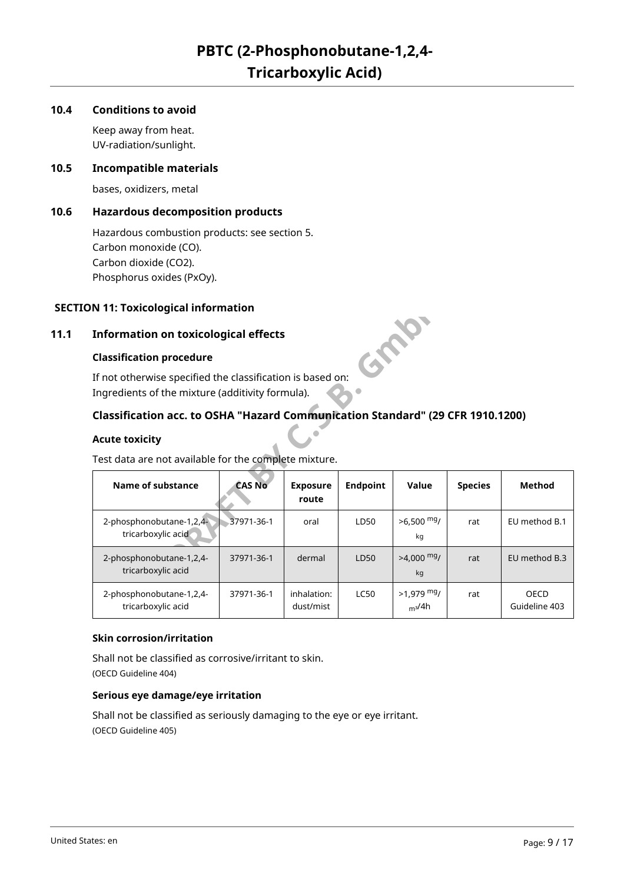#### **10.4 Conditions to avoid**

Keep away from heat. UV-radiation/sunlight.

#### **10.5 Incompatible materials**

bases, oxidizers, metal

#### **10.6 Hazardous decomposition products**

Hazardous combustion products: see section 5. Carbon monoxide (CO). Carbon dioxide (CO2). Phosphorus oxides (PxOy).

#### **SECTION 11: Toxicological information**

#### **11.1 Information on toxicological effects**

#### **Classification procedure**

#### **Classification acc. to OSHA "Hazard Communication Standard" (29 CFR 1910.1200)**

#### **Acute toxicity**

| N 11: Toxicological information                                                |                                                                                                                |                          |                 |                                    |                |                              |  |
|--------------------------------------------------------------------------------|----------------------------------------------------------------------------------------------------------------|--------------------------|-----------------|------------------------------------|----------------|------------------------------|--|
| <b>Information on toxicological effects</b><br>GRA                             |                                                                                                                |                          |                 |                                    |                |                              |  |
| <b>Classification procedure</b>                                                |                                                                                                                |                          |                 |                                    |                |                              |  |
|                                                                                | If not otherwise specified the classification is based on:<br>Ingredients of the mixture (additivity formula). |                          |                 |                                    |                |                              |  |
| Classification acc. to OSHA "Hazard Communication Standard" (29 CFR 1910.1200) |                                                                                                                |                          |                 |                                    |                |                              |  |
| <b>Acute toxicity</b>                                                          |                                                                                                                |                          |                 |                                    |                |                              |  |
| Test data are not available for the complete mixture.                          |                                                                                                                |                          |                 |                                    |                |                              |  |
| Name of substance                                                              | <b>CAS No</b>                                                                                                  | <b>Exposure</b><br>route | <b>Endpoint</b> | Value                              | <b>Species</b> | <b>Method</b>                |  |
| 2-phosphonobutane-1,2,4-<br>tricarboxylic acid                                 | 37971-36-1                                                                                                     | oral                     | LD50            | $>6.500$ mg/<br>kg                 | rat            | EU method B.1                |  |
| 2-phosphonobutane-1,2,4-<br>tricarboxylic acid                                 | 37971-36-1                                                                                                     | dermal                   | LD50            | $>4,000$ mg/<br>kg                 | rat            | EU method B.3                |  |
| 2-phosphonobutane-1,2,4-<br>tricarboxylic acid                                 | 37971-36-1                                                                                                     | inhalation:<br>dust/mist | <b>LC50</b>     | $>1.979$ mg/<br>m <sup>3</sup> /4h | rat            | <b>OECD</b><br>Guideline 403 |  |

#### **Skin corrosion/irritation**

Shall not be classified as corrosive/irritant to skin. (OECD Guideline 404)

#### **Serious eye damage/eye irritation**

Shall not be classified as seriously damaging to the eye or eye irritant. (OECD Guideline 405)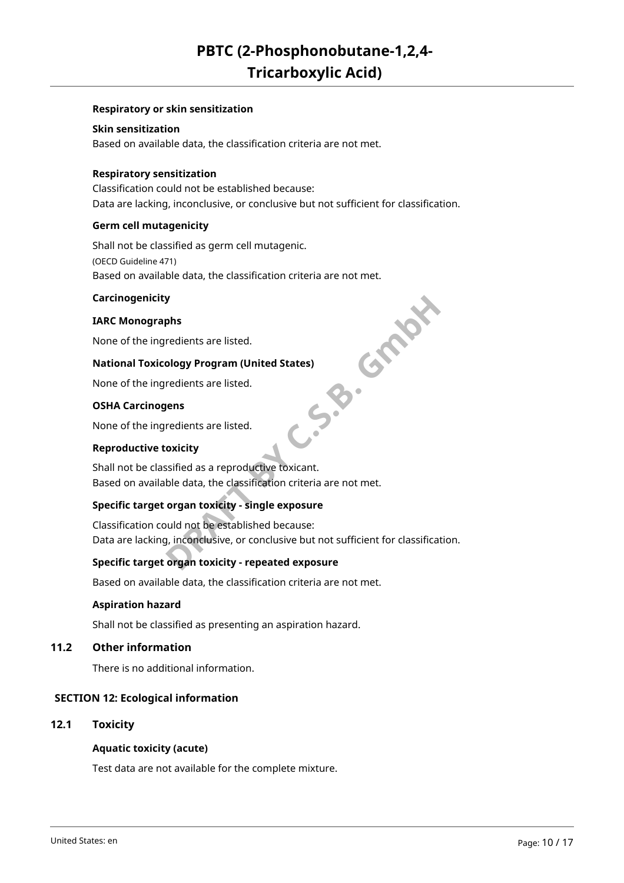#### **Respiratory or skin sensitization**

#### **Skin sensitization**

Based on available data, the classification criteria are not met.

#### **Respiratory sensitization**

Classification could not be established because: Data are lacking, inconclusive, or conclusive but not sufficient for classification.

#### **Germ cell mutagenicity**

Shall not be classified as germ cell mutagenic. (OECD Guideline 471) Based on available data, the classification criteria are not met.

#### **Carcinogenicity**

#### **IARC Monographs**

None of the ingredients are listed.

## **5.B. Graph National Toxicology Program (United States)**

None of the ingredients are listed.

#### **OSHA Carcinogens**

None of the ingredients are listed.

#### **Reproductive toxicity**

Shall not be classified as a reproductive toxicant. Based on available data, the classification criteria are not met.

#### **Specific target organ toxicity - single exposure**

Classification could not be established because: Data are lacking, inconclusive, or conclusive but not sufficient for classification.

#### **Specific target organ toxicity - repeated exposure**

Based on available data, the classification criteria are not met.

#### **Aspiration hazard**

Shall not be classified as presenting an aspiration hazard.

#### **11.2 Other information**

There is no additional information.

#### **SECTION 12: Ecological information**

#### **12.1 Toxicity**

#### **Aquatic toxicity (acute)**

Test data are not available for the complete mixture.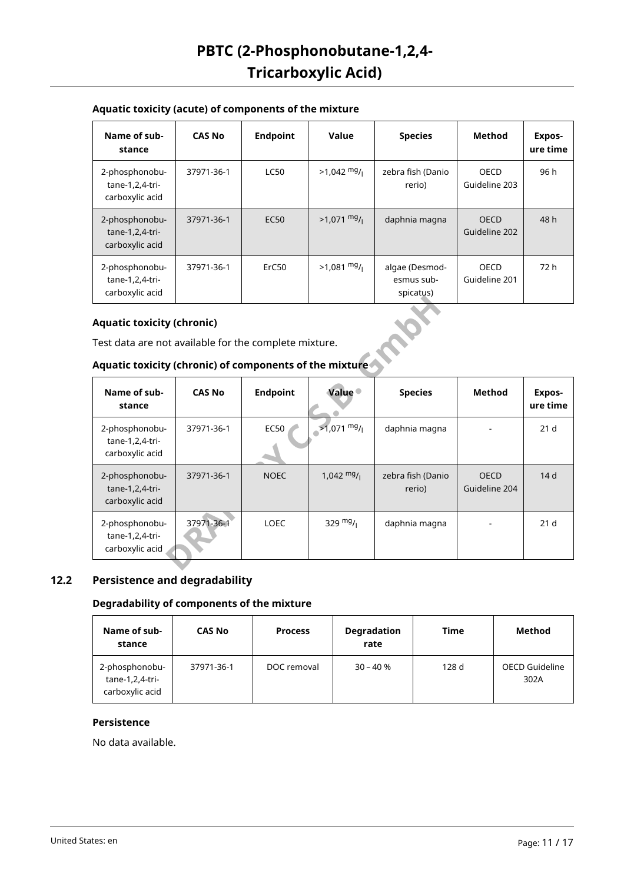#### **Aquatic toxicity (acute) of components of the mixture**

| Name of sub-<br>stance                               | <b>CAS No</b> | <b>Endpoint</b>   | Value                 | <b>Species</b>                            | Method                       | Expos-<br>ure time |
|------------------------------------------------------|---------------|-------------------|-----------------------|-------------------------------------------|------------------------------|--------------------|
| 2-phosphonobu-<br>tane-1,2,4-tri-<br>carboxylic acid | 37971-36-1    | <b>LC50</b>       | $>1,042$ mg/          | zebra fish (Danio<br>rerio)               | <b>OECD</b><br>Guideline 203 | 96 h               |
| 2-phosphonobu-<br>tane-1,2,4-tri-<br>carboxylic acid | 37971-36-1    | <b>EC50</b>       | $>1,071$ mg/          | daphnia magna                             | <b>OECD</b><br>Guideline 202 | 48 h               |
| 2-phosphonobu-<br>tane-1,2,4-tri-<br>carboxylic acid | 37971-36-1    | ErC <sub>50</sub> | $>1,081 \frac{mg}{l}$ | algae (Desmod-<br>esmus sub-<br>spicatus) | OECD<br>Guideline 201        | 72 h               |

#### **Aquatic toxicity (chronic)**

#### **Aquatic toxicity (chronic) of components of the mixture**

|                                                                                                                                                       |               |                 |                      | ------ <u>-</u> -           |                              |                    |  |  |  |
|-------------------------------------------------------------------------------------------------------------------------------------------------------|---------------|-----------------|----------------------|-----------------------------|------------------------------|--------------------|--|--|--|
| <b>Aquatic toxicity (chronic)</b><br>Test data are not available for the complete mixture.<br>Aquatic toxicity (chronic) of components of the mixture |               |                 |                      |                             |                              |                    |  |  |  |
| Name of sub-<br>stance                                                                                                                                | <b>CAS No</b> | <b>Endpoint</b> | <b>Value</b>         | <b>Species</b>              | <b>Method</b>                | Expos-<br>ure time |  |  |  |
| 2-phosphonobu-<br>tane-1,2,4-tri-<br>carboxylic acid                                                                                                  | 37971-36-1    | EC50            | $>1,071$ mg/         | daphnia magna               |                              | 21 <sub>d</sub>    |  |  |  |
| 2-phosphonobu-<br>tane-1,2,4-tri-<br>carboxylic acid                                                                                                  | 37971-36-1    | <b>NOEC</b>     | $1,042 \frac{mg}{l}$ | zebra fish (Danio<br>rerio) | <b>OECD</b><br>Guideline 204 | 14 <sub>d</sub>    |  |  |  |
| 2-phosphonobu-<br>tane-1,2,4-tri-<br>carboxylic acid                                                                                                  | 37971-36-1    | <b>LOEC</b>     | 329 $mg/1$           | daphnia magna               |                              | 21 <sub>d</sub>    |  |  |  |

#### **12.2 Persistence and degradability**

#### **Degradability of components of the mixture**

| Name of sub-<br>stance                                   | <b>CAS No</b> | <b>Process</b> | <b>Degradation</b><br>rate | Time  | Method                        |
|----------------------------------------------------------|---------------|----------------|----------------------------|-------|-------------------------------|
| 2-phosphonobu-<br>$tane-1, 2, 4-tri-$<br>carboxylic acid | 37971-36-1    | DOC removal    | $30 - 40%$                 | 128 d | <b>OECD Guideline</b><br>302A |

#### **Persistence**

No data available.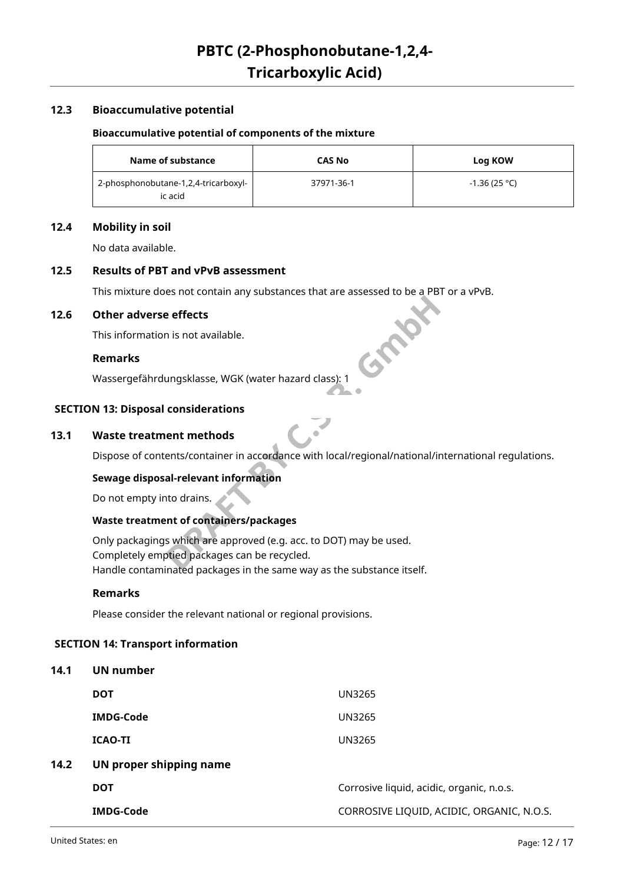#### **12.3 Bioaccumulative potential**

#### **Bioaccumulative potential of components of the mixture**

| Name of substance                               | <b>CAS No</b> | Log KOW        |
|-------------------------------------------------|---------------|----------------|
| 2-phosphonobutane-1,2,4-tricarboxyl-<br>ic acid | 37971-36-1    | $-1.36(25 °C)$ |

#### **12.4 Mobility in soil**

No data available.

#### **12.5 Results of PBT and vPvB assessment**

This mixture does not contain any substances that are assessed to be a PBT or a vPvB.

#### **12.6 Other adverse effects**

This information is not available.

#### **Remarks**

Wassergefährdungsklasse, WGK (water hazard class): 1

#### **SECTION 13: Disposal considerations**

#### **13.1 Waste treatment methods**

Dispose of contents/container in accordance with local/regional/national/international regulations.

#### **Sewage disposal-relevant information**

Do not empty into drains.

#### **Waste treatment of containers/packages**

**Profects**<br> **Profects**<br> **DRAFT BY CONSIGNMENT BY CONSIGNMENT WAS ARRESTED ASSAULT CONSIDERATIONS**<br> **DRAFT BY CONSIDERATION**<br> **DRAFT BY CONSIDER BY PROFECTS ASSAULT CONSIDER BY CONSIDER BY CONSIDER ASSAULT CONSIDER A CONSID** Only packagings which are approved (e.g. acc. to DOT) may be used. Completely emptied packages can be recycled. Handle contaminated packages in the same way as the substance itself.

#### **Remarks**

Please consider the relevant national or regional provisions.

#### **SECTION 14: Transport information**

#### **14.1 UN number**

| <b>DOT</b>              | UN3265                                    |
|-------------------------|-------------------------------------------|
| <b>IMDG-Code</b>        | UN3265                                    |
| <b>ICAO-TI</b>          | UN3265                                    |
| UN proper shipping name |                                           |
| <b>DOT</b>              | Corrosive liquid, acidic, organic, n.o.s. |
| <b>IMDG-Code</b>        | CORROSIVE LIQUID, ACIDIC, ORGANIC, N.O.S. |

**14.2**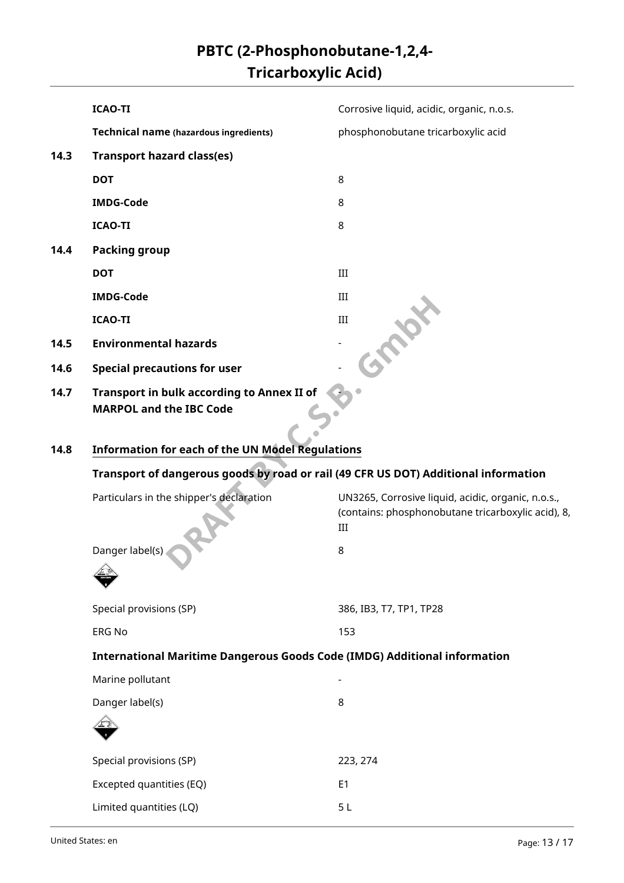|      | <b>ICAO-TI</b>                                                                      | Corrosive liquid, acidic, organic, n.o.s.                                                                       |  |  |
|------|-------------------------------------------------------------------------------------|-----------------------------------------------------------------------------------------------------------------|--|--|
|      | <b>Technical name (hazardous ingredients)</b>                                       | phosphonobutane tricarboxylic acid                                                                              |  |  |
| 14.3 | <b>Transport hazard class(es)</b>                                                   |                                                                                                                 |  |  |
|      | <b>DOT</b>                                                                          | 8                                                                                                               |  |  |
|      | <b>IMDG-Code</b>                                                                    | 8                                                                                                               |  |  |
|      | <b>ICAO-TI</b>                                                                      | 8                                                                                                               |  |  |
| 14.4 | <b>Packing group</b>                                                                |                                                                                                                 |  |  |
|      | <b>DOT</b>                                                                          | III                                                                                                             |  |  |
|      | <b>IMDG-Code</b>                                                                    | III                                                                                                             |  |  |
|      | <b>ICAO-TI</b>                                                                      | <b>PROX</b><br>III                                                                                              |  |  |
| 14.5 | <b>Environmental hazards</b>                                                        |                                                                                                                 |  |  |
| 14.6 | <b>Special precautions for user</b>                                                 |                                                                                                                 |  |  |
| 14.7 | <b>Transport in bulk according to Annex II of</b><br><b>MARPOL and the IBC Code</b> |                                                                                                                 |  |  |
| 14.8 | <b>Information for each of the UN Model Regulations</b>                             |                                                                                                                 |  |  |
|      |                                                                                     | Transport of dangerous goods by road or rail (49 CFR US DOT) Additional information                             |  |  |
|      | Particulars in the shipper's declaration                                            | UN3265, Corrosive liquid, acidic, organic, n.o.s.,<br>(contains: phosphonobutane tricarboxylic acid), 8,<br>III |  |  |
|      | Danger label(s)                                                                     | 8                                                                                                               |  |  |
|      | Special provisions (SP)                                                             | 386, IB3, T7, TP1, TP28                                                                                         |  |  |
|      | <b>ERG No</b>                                                                       | 153                                                                                                             |  |  |
|      | <b>International Maritime Dangerous Goods Code (IMDG) Additional information</b>    |                                                                                                                 |  |  |
|      | Marine pollutant                                                                    |                                                                                                                 |  |  |
|      | Danger label(s)                                                                     | 8                                                                                                               |  |  |
|      |                                                                                     |                                                                                                                 |  |  |
|      | Special provisions (SP)                                                             | 223, 274                                                                                                        |  |  |
|      | Excepted quantities (EQ)                                                            | E <sub>1</sub>                                                                                                  |  |  |
|      | Limited quantities (LQ)                                                             | 5 <sub>L</sub>                                                                                                  |  |  |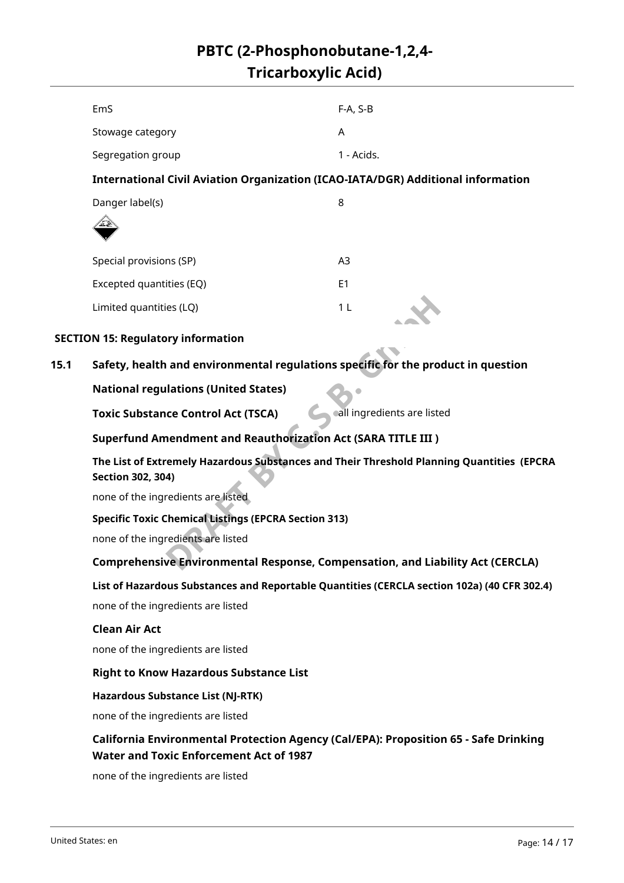|      | EmS                                                                                                                                    | $F-A, S-B$                  |  |  |
|------|----------------------------------------------------------------------------------------------------------------------------------------|-----------------------------|--|--|
|      | Stowage category                                                                                                                       | A                           |  |  |
|      | Segregation group                                                                                                                      | 1 - Acids.                  |  |  |
|      | <b>International Civil Aviation Organization (ICAO-IATA/DGR) Additional information</b>                                                |                             |  |  |
|      | Danger label(s)                                                                                                                        | 8                           |  |  |
|      |                                                                                                                                        |                             |  |  |
|      | Special provisions (SP)                                                                                                                | A <sub>3</sub>              |  |  |
|      | Excepted quantities (EQ)                                                                                                               | E <sub>1</sub>              |  |  |
|      | Limited quantities (LQ)                                                                                                                | 1 <sub>L</sub>              |  |  |
|      | <b>SECTION 15: Regulatory information</b>                                                                                              |                             |  |  |
| 15.1 | Safety, health and environmental regulations specific for the product in question                                                      |                             |  |  |
|      | <b>National regulations (United States)</b>                                                                                            |                             |  |  |
|      | <b>Toxic Substance Control Act (TSCA)</b>                                                                                              | call ingredients are listed |  |  |
|      | <b>Superfund Amendment and Reauthorization Act (SARA TITLE III)</b>                                                                    |                             |  |  |
|      | The List of Extremely Hazardous Substances and Their Threshold Planning Quantities (EPCRA<br><b>Section 302, 304)</b>                  |                             |  |  |
|      | none of the ingredients are listed                                                                                                     |                             |  |  |
|      | <b>Specific Toxic Chemical Listings (EPCRA Section 313)</b>                                                                            |                             |  |  |
|      | none of the ingredients are listed                                                                                                     |                             |  |  |
|      | Comprehensive Environmental Response, Compensation, and Liability Act (CERCLA)                                                         |                             |  |  |
|      | List of Hazardous Substances and Reportable Quantities (CERCLA section 102a) (40 CFR 302.4)                                            |                             |  |  |
|      | none of the ingredients are listed                                                                                                     |                             |  |  |
|      | <b>Clean Air Act</b>                                                                                                                   |                             |  |  |
|      | none of the ingredients are listed                                                                                                     |                             |  |  |
|      | <b>Right to Know Hazardous Substance List</b>                                                                                          |                             |  |  |
|      | <b>Hazardous Substance List (NJ-RTK)</b>                                                                                               |                             |  |  |
|      | none of the ingredients are listed                                                                                                     |                             |  |  |
|      | California Environmental Protection Agency (Cal/EPA): Proposition 65 - Safe Drinking<br><b>Water and Toxic Enforcement Act of 1987</b> |                             |  |  |
|      | none of the ingredients are listed                                                                                                     |                             |  |  |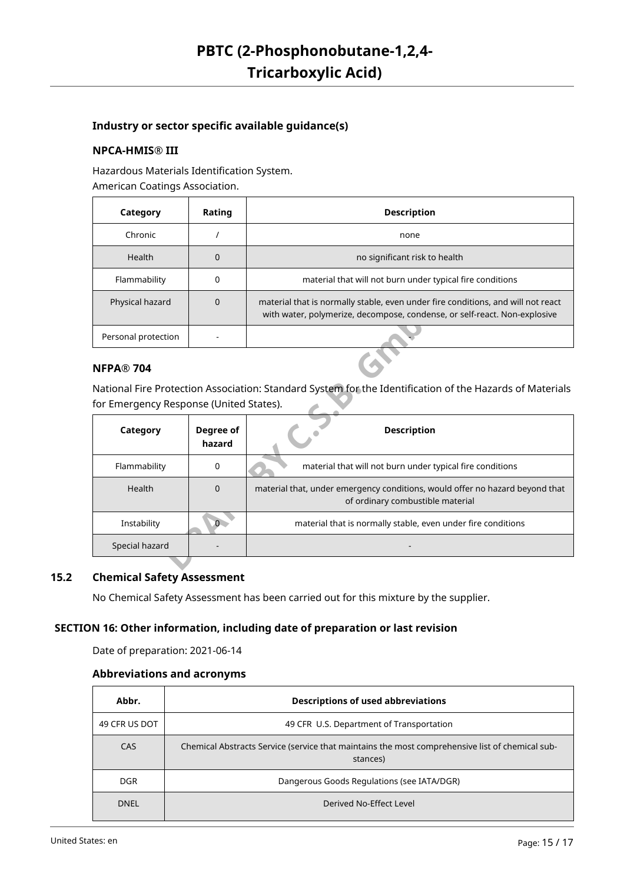#### **Industry or sector specific available guidance(s)**

#### **NPCA-HMIS® III**

Hazardous Materials Identification System. American Coatings Association.

| Category            | Rating | <b>Description</b>                                                                                                                                            |  |
|---------------------|--------|---------------------------------------------------------------------------------------------------------------------------------------------------------------|--|
| Chronic             |        | none                                                                                                                                                          |  |
| <b>Health</b>       | 0      | no significant risk to health                                                                                                                                 |  |
| Flammability        | 0      | material that will not burn under typical fire conditions                                                                                                     |  |
| Physical hazard     | 0      | material that is normally stable, even under fire conditions, and will not react<br>with water, polymerize, decompose, condense, or self-react. Non-explosive |  |
| Personal protection |        |                                                                                                                                                               |  |

#### **NFPA® 704**

| Physical hazard                         | $\Omega$            | material that is normally stable, even under fire conditions, and will not react<br>with water, polymerize, decompose, condense, or self-react. Non-explosive |
|-----------------------------------------|---------------------|---------------------------------------------------------------------------------------------------------------------------------------------------------------|
| Personal protection                     |                     |                                                                                                                                                               |
| <b>NFPA® 704</b>                        |                     |                                                                                                                                                               |
|                                         |                     | National Fire Protection Association: Standard System for the Identification of the Hazards of Materials                                                      |
| for Emergency Response (United States). |                     |                                                                                                                                                               |
| Category                                | Degree of<br>hazard | <b>Description</b>                                                                                                                                            |
| Flammability                            | 0                   | material that will not burn under typical fire conditions                                                                                                     |
| Health                                  | $\Omega$            | material that, under emergency conditions, would offer no hazard beyond that<br>of ordinary combustible material                                              |
| Instability                             | 0.                  | material that is normally stable, even under fire conditions                                                                                                  |
| Special hazard                          |                     |                                                                                                                                                               |
|                                         |                     |                                                                                                                                                               |

#### **15.2 Chemical Safety Assessment**

No Chemical Safety Assessment has been carried out for this mixture by the supplier.

#### **SECTION 16: Other information, including date of preparation or last revision**

Date of preparation: 2021-06-14

#### **Abbreviations and acronyms**

| Abbr.         | <b>Descriptions of used abbreviations</b>                                                                   |
|---------------|-------------------------------------------------------------------------------------------------------------|
| 49 CFR US DOT | 49 CFR U.S. Department of Transportation                                                                    |
| CAS           | Chemical Abstracts Service (service that maintains the most comprehensive list of chemical sub-<br>stances) |
| DGR.          | Dangerous Goods Regulations (see IATA/DGR)                                                                  |
| <b>DNEL</b>   | Derived No-Effect Level                                                                                     |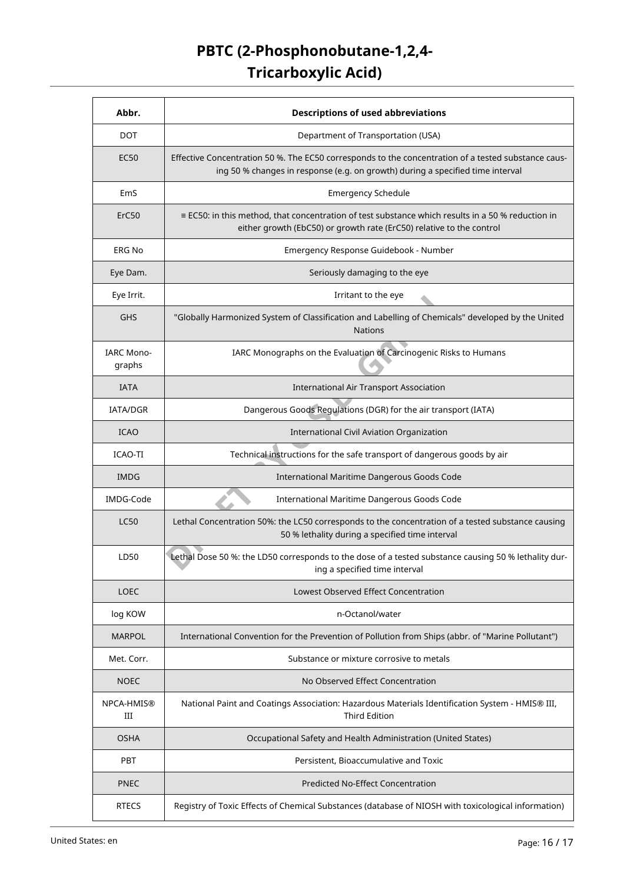| Abbr.                       | <b>Descriptions of used abbreviations</b>                                                                                                                                             |  |  |
|-----------------------------|---------------------------------------------------------------------------------------------------------------------------------------------------------------------------------------|--|--|
| <b>DOT</b>                  | Department of Transportation (USA)                                                                                                                                                    |  |  |
| EC50                        | Effective Concentration 50 %. The EC50 corresponds to the concentration of a tested substance caus-<br>ing 50 % changes in response (e.g. on growth) during a specified time interval |  |  |
| EmS                         | <b>Emergency Schedule</b>                                                                                                                                                             |  |  |
| ErC50                       | $\equiv$ EC50: in this method, that concentration of test substance which results in a 50 % reduction in<br>either growth (EbC50) or growth rate (ErC50) relative to the control      |  |  |
| <b>ERG No</b>               | Emergency Response Guidebook - Number                                                                                                                                                 |  |  |
| Eye Dam.                    | Seriously damaging to the eye                                                                                                                                                         |  |  |
| Eye Irrit.                  | Irritant to the eye                                                                                                                                                                   |  |  |
| <b>GHS</b>                  | "Globally Harmonized System of Classification and Labelling of Chemicals" developed by the United<br><b>Nations</b>                                                                   |  |  |
| <b>IARC Mono-</b><br>graphs | IARC Monographs on the Evaluation of Carcinogenic Risks to Humans                                                                                                                     |  |  |
| <b>IATA</b>                 | <b>International Air Transport Association</b>                                                                                                                                        |  |  |
| IATA/DGR                    | Dangerous Goods Regulations (DGR) for the air transport (IATA)                                                                                                                        |  |  |
| <b>ICAO</b>                 | International Civil Aviation Organization                                                                                                                                             |  |  |
| ICAO-TI                     | Technical instructions for the safe transport of dangerous goods by air                                                                                                               |  |  |
| <b>IMDG</b>                 | International Maritime Dangerous Goods Code                                                                                                                                           |  |  |
| IMDG-Code                   | International Maritime Dangerous Goods Code                                                                                                                                           |  |  |
| <b>LC50</b>                 | Lethal Concentration 50%: the LC50 corresponds to the concentration of a tested substance causing<br>50 % lethality during a specified time interval                                  |  |  |
| LD50                        | Lethal Dose 50 %: the LD50 corresponds to the dose of a tested substance causing 50 % lethality dur-<br>ing a specified time interval                                                 |  |  |
| <b>LOEC</b>                 | Lowest Observed Effect Concentration                                                                                                                                                  |  |  |
| log KOW                     | n-Octanol/water                                                                                                                                                                       |  |  |
| <b>MARPOL</b>               | International Convention for the Prevention of Pollution from Ships (abbr. of "Marine Pollutant")                                                                                     |  |  |
| Met. Corr.                  | Substance or mixture corrosive to metals                                                                                                                                              |  |  |
| <b>NOEC</b>                 | No Observed Effect Concentration                                                                                                                                                      |  |  |
| NPCA-HMIS®<br>Ш             | National Paint and Coatings Association: Hazardous Materials Identification System - HMIS® III,<br>Third Edition                                                                      |  |  |
| <b>OSHA</b>                 | Occupational Safety and Health Administration (United States)                                                                                                                         |  |  |
| PBT                         | Persistent, Bioaccumulative and Toxic                                                                                                                                                 |  |  |
| <b>PNEC</b>                 | <b>Predicted No-Effect Concentration</b>                                                                                                                                              |  |  |
| <b>RTECS</b>                | Registry of Toxic Effects of Chemical Substances (database of NIOSH with toxicological information)                                                                                   |  |  |